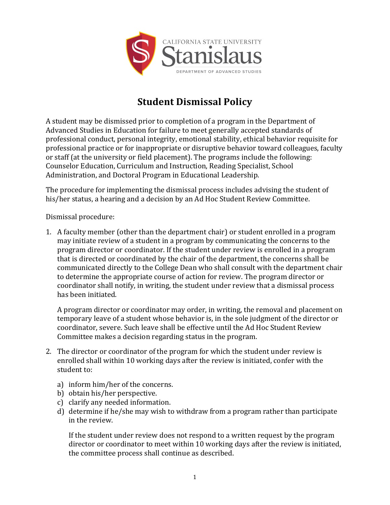

## **Student Dismissal Policy**

A student may be dismissed prior to completion of a program in the Department of Advanced Studies in Education for failure to meet generally accepted standards of professional conduct, personal integrity, emotional stability, ethical behavior requisite for professional practice or for inappropriate or disruptive behavior toward colleagues, faculty or staff (at the university or field placement). The programs include the following: Counselor Education, Curriculum and Instruction, Reading Specialist, School Administration, and Doctoral Program in Educational Leadership.

The procedure for implementing the dismissal process includes advising the student of his/her status, a hearing and a decision by an Ad Hoc Student Review Committee.

Dismissal procedure:

1. A faculty member (other than the department chair) or student enrolled in a program may initiate review of a student in a program by communicating the concerns to the program director or coordinator. If the student under review is enrolled in a program that is directed or coordinated by the chair of the department, the concerns shall be communicated directly to the College Dean who shall consult with the department chair to determine the appropriate course of action for review. The program director or coordinator shall notify, in writing, the student under review that a dismissal process has been initiated.

A program director or coordinator may order, in writing, the removal and placement on temporary leave of a student whose behavior is, in the sole judgment of the director or coordinator, severe. Such leave shall be effective until the Ad Hoc Student Review Committee makes a decision regarding status in the program.

- 2. The director or coordinator of the program for which the student under review is enrolled shall within 10 working days after the review is initiated, confer with the student to:
	- a) inform him/her of the concerns.
	- b) obtain his/her perspective.
	- c) clarify any needed information.
	- d) determine if he/she may wish to withdraw from a program rather than participate in the review.

If the student under review does not respond to a written request by the program director or coordinator to meet within 10 working days after the review is initiated, the committee process shall continue as described.